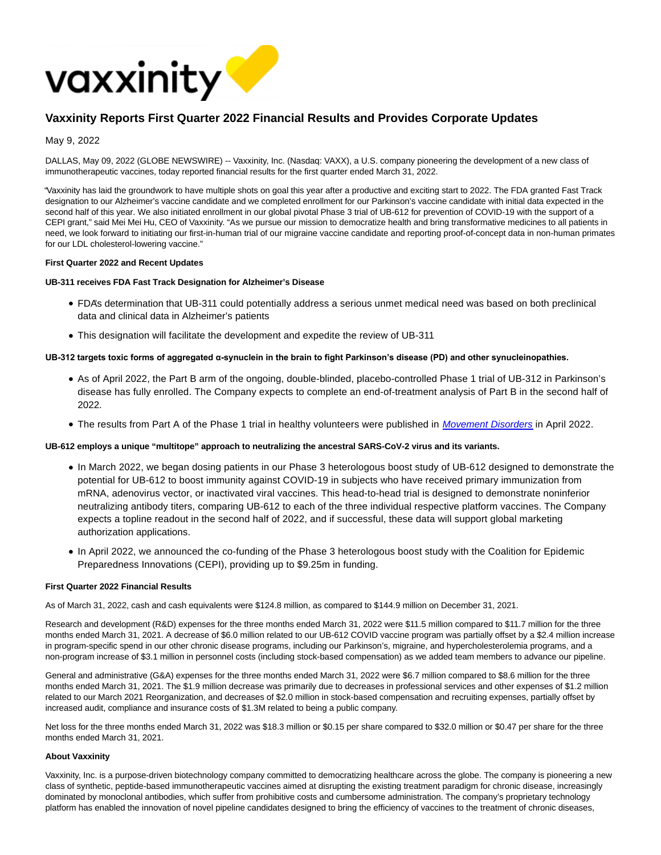

# **Vaxxinity Reports First Quarter 2022 Financial Results and Provides Corporate Updates**

# May 9, 2022

DALLAS, May 09, 2022 (GLOBE NEWSWIRE) -- Vaxxinity, Inc. (Nasdaq: VAXX), a U.S. company pioneering the development of a new class of immunotherapeutic vaccines, today reported financial results for the first quarter ended March 31, 2022.

"Vaxxinity has laid the groundwork to have multiple shots on goal this year after a productive and exciting start to 2022. The FDA granted Fast Track designation to our Alzheimer's vaccine candidate and we completed enrollment for our Parkinson's vaccine candidate with initial data expected in the second half of this year. We also initiated enrollment in our global pivotal Phase 3 trial of UB-612 for prevention of COVID-19 with the support of a CEPI grant," said Mei Mei Hu, CEO of Vaxxinity. "As we pursue our mission to democratize health and bring transformative medicines to all patients in need, we look forward to initiating our first-in-human trial of our migraine vaccine candidate and reporting proof-of-concept data in non-human primates for our LDL cholesterol-lowering vaccine."

## **First Quarter 2022 and Recent Updates**

## **UB-311 receives FDA Fast Track Designation for Alzheimer's Disease**

- FDA's determination that UB-311 could potentially address a serious unmet medical need was based on both preclinical data and clinical data in Alzheimer's patients
- This designation will facilitate the development and expedite the review of UB-311

# **UB-312 targets toxic forms of aggregated α-synuclein in the brain to fight Parkinson's disease (PD) and other synucleinopathies.**

- As of April 2022, the Part B arm of the ongoing, double-blinded, placebo-controlled Phase 1 trial of UB-312 in Parkinson's disease has fully enrolled. The Company expects to complete an end-of-treatment analysis of Part B in the second half of 2022.
- The results from Part A of the Phase 1 trial in healthy volunteers were published in [Movement Disorders](https://onlinelibrary.wiley.com/doi/abs/10.1002/mds.29016) in April 2022.

## **UB-612 employs a unique "multitope" approach to neutralizing the ancestral SARS-CoV-2 virus and its variants.**

- In March 2022, we began dosing patients in our Phase 3 heterologous boost study of UB-612 designed to demonstrate the potential for UB-612 to boost immunity against COVID-19 in subjects who have received primary immunization from mRNA, adenovirus vector, or inactivated viral vaccines. This head-to-head trial is designed to demonstrate noninferior neutralizing antibody titers, comparing UB-612 to each of the three individual respective platform vaccines. The Company expects a topline readout in the second half of 2022, and if successful, these data will support global marketing authorization applications.
- In April 2022, we announced the co-funding of the Phase 3 heterologous boost study with the Coalition for Epidemic Preparedness Innovations (CEPI), providing up to \$9.25m in funding.

#### **First Quarter 2022 Financial Results**

As of March 31, 2022, cash and cash equivalents were \$124.8 million, as compared to \$144.9 million on December 31, 2021.

Research and development (R&D) expenses for the three months ended March 31, 2022 were \$11.5 million compared to \$11.7 million for the three months ended March 31, 2021. A decrease of \$6.0 million related to our UB-612 COVID vaccine program was partially offset by a \$2.4 million increase in program-specific spend in our other chronic disease programs, including our Parkinson's, migraine, and hypercholesterolemia programs, and a non-program increase of \$3.1 million in personnel costs (including stock-based compensation) as we added team members to advance our pipeline.

General and administrative (G&A) expenses for the three months ended March 31, 2022 were \$6.7 million compared to \$8.6 million for the three months ended March 31, 2021. The \$1.9 million decrease was primarily due to decreases in professional services and other expenses of \$1.2 million related to our March 2021 Reorganization, and decreases of \$2.0 million in stock-based compensation and recruiting expenses, partially offset by increased audit, compliance and insurance costs of \$1.3M related to being a public company.

Net loss for the three months ended March 31, 2022 was \$18.3 million or \$0.15 per share compared to \$32.0 million or \$0.47 per share for the three months ended March 31, 2021.

#### **About Vaxxinity**

Vaxxinity, Inc. is a purpose-driven biotechnology company committed to democratizing healthcare across the globe. The company is pioneering a new class of synthetic, peptide-based immunotherapeutic vaccines aimed at disrupting the existing treatment paradigm for chronic disease, increasingly dominated by monoclonal antibodies, which suffer from prohibitive costs and cumbersome administration. The company's proprietary technology platform has enabled the innovation of novel pipeline candidates designed to bring the efficiency of vaccines to the treatment of chronic diseases,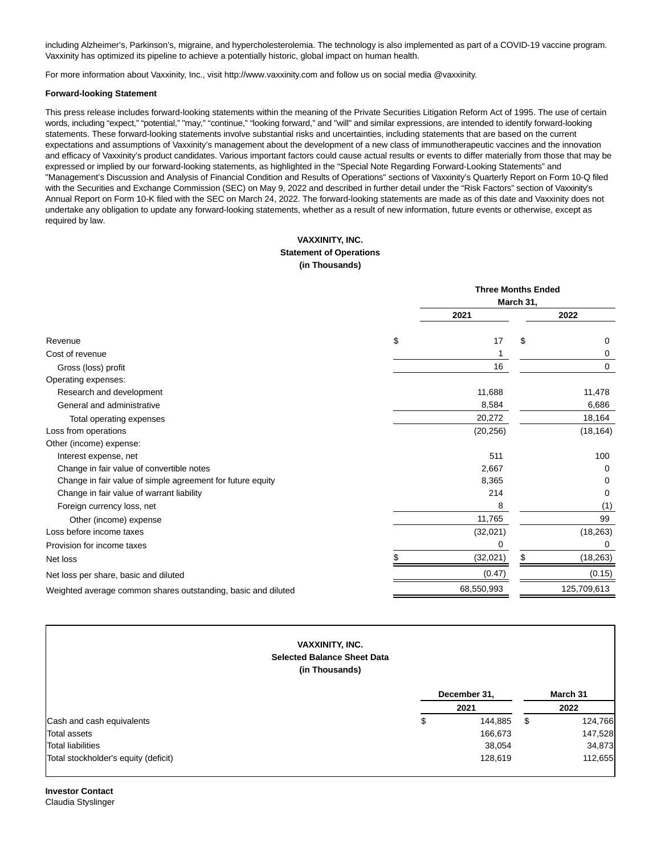including Alzheimer's, Parkinson's, migraine, and hypercholesterolemia. The technology is also implemented as part of a COVID-19 vaccine program. Vaxxinity has optimized its pipeline to achieve a potentially historic, global impact on human health.

For more information about Vaxxinity, Inc., visit http://www.vaxxinity.com and follow us on social media @vaxxinity.

#### **Forward-looking Statement**

This press release includes forward-looking statements within the meaning of the Private Securities Litigation Reform Act of 1995. The use of certain words, including "expect," "potential," "may," "continue," "looking forward," and "will" and similar expressions, are intended to identify forward-looking statements. These forward-looking statements involve substantial risks and uncertainties, including statements that are based on the current expectations and assumptions of Vaxxinity's management about the development of a new class of immunotherapeutic vaccines and the innovation and efficacy of Vaxxinity's product candidates. Various important factors could cause actual results or events to differ materially from those that may be expressed or implied by our forward-looking statements, as highlighted in the "Special Note Regarding Forward-Looking Statements" and "Management's Discussion and Analysis of Financial Condition and Results of Operations" sections of Vaxxinity's Quarterly Report on Form 10-Q filed with the Securities and Exchange Commission (SEC) on May 9, 2022 and described in further detail under the "Risk Factors" section of Vaxxinity's Annual Report on Form 10-K filed with the SEC on March 24, 2022. The forward-looking statements are made as of this date and Vaxxinity does not undertake any obligation to update any forward-looking statements, whether as a result of new information, future events or otherwise, except as required by law.

# **VAXXINITY, INC. Statement of Operations (in Thousands)**

|                                                               | <b>Three Months Ended</b> |           |             |
|---------------------------------------------------------------|---------------------------|-----------|-------------|
|                                                               |                           | March 31, |             |
|                                                               | 2021                      |           | 2022        |
| Revenue                                                       | \$<br>17                  | \$        | $\Omega$    |
| Cost of revenue                                               |                           |           | 0           |
| Gross (loss) profit                                           | 16                        |           | 0           |
| Operating expenses:                                           |                           |           |             |
| Research and development                                      | 11,688                    |           | 11,478      |
| General and administrative                                    | 8,584                     |           | 6,686       |
| Total operating expenses                                      | 20,272                    |           | 18,164      |
| Loss from operations                                          | (20, 256)                 |           | (18, 164)   |
| Other (income) expense:                                       |                           |           |             |
| Interest expense, net                                         | 511                       |           | 100         |
| Change in fair value of convertible notes                     | 2,667                     |           | $\Omega$    |
| Change in fair value of simple agreement for future equity    | 8,365                     |           | 0           |
| Change in fair value of warrant liability                     | 214                       |           | 0           |
| Foreign currency loss, net                                    | 8                         |           | (1)         |
| Other (income) expense                                        | 11,765                    |           | 99          |
| Loss before income taxes                                      | (32,021)                  |           | (18, 263)   |
| Provision for income taxes                                    | 0                         |           | 0           |
| Net loss                                                      | \$<br>(32,021)            | \$        | (18, 263)   |
| Net loss per share, basic and diluted                         | (0.47)                    |           | (0.15)      |
| Weighted average common shares outstanding, basic and diluted | 68,550,993                |           | 125,709,613 |
|                                                               |                           |           |             |

|                                      | <b>VAXXINITY, INC.</b><br><b>Selected Balance Sheet Data</b><br>(in Thousands) |              |          |         |
|--------------------------------------|--------------------------------------------------------------------------------|--------------|----------|---------|
|                                      |                                                                                | December 31, | March 31 |         |
|                                      |                                                                                | 2021         | 2022     |         |
| Cash and cash equivalents            | \$                                                                             | 144,885      | S        | 124,766 |
| Total assets                         |                                                                                | 166,673      |          | 147,528 |
| Total liabilities                    |                                                                                | 38,054       |          | 34,873  |
| Total stockholder's equity (deficit) |                                                                                | 128,619      |          | 112,655 |